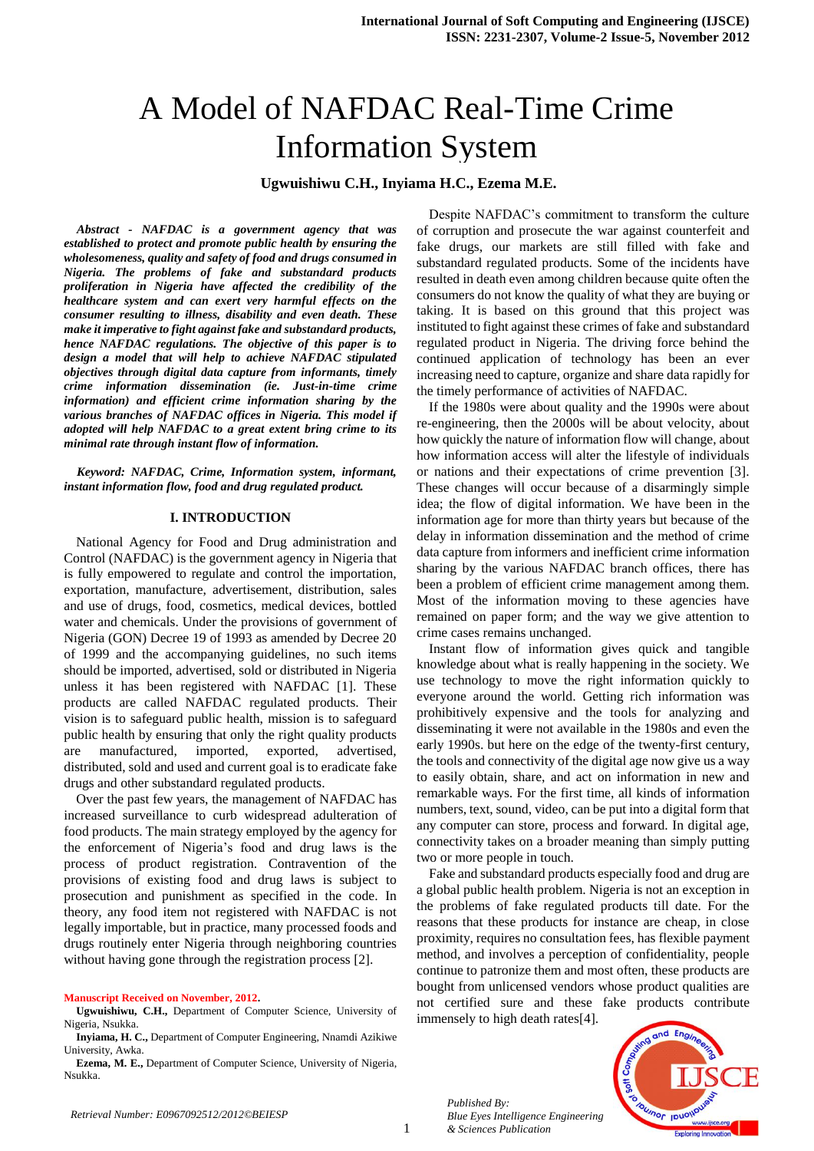# A Model of NAFDAC Real-Time Crime Information System

# **Ugwuishiwu C.H., Inyiama H.C., Ezema M.E.**

*Abstract - NAFDAC is a government agency that was established to protect and promote public health by ensuring the wholesomeness, quality and safety of food and drugs consumed in Nigeria. The problems of fake and substandard products proliferation in Nigeria have affected the credibility of the healthcare system and can exert very harmful effects on the consumer resulting to illness, disability and even death. These make it imperative to fight against fake and substandard products, hence NAFDAC regulations. The objective of this paper is to design a model that will help to achieve NAFDAC stipulated objectives through digital data capture from informants, timely crime information dissemination (ie. Just-in-time crime information) and efficient crime information sharing by the various branches of NAFDAC offices in Nigeria. This model if adopted will help NAFDAC to a great extent bring crime to its minimal rate through instant flow of information.* 

*Keyword: NAFDAC, Crime, Information system, informant, instant information flow, food and drug regulated product.*

# **I. INTRODUCTION**

National Agency for Food and Drug administration and Control (NAFDAC) is the government agency in Nigeria that is fully empowered to regulate and control the importation, exportation, manufacture, advertisement, distribution, sales and use of drugs, food, cosmetics, medical devices, bottled water and chemicals. Under the provisions of government of Nigeria (GON) Decree 19 of 1993 as amended by Decree 20 of 1999 and the accompanying guidelines, no such items should be imported, advertised, sold or distributed in Nigeria unless it has been registered with NAFDAC [1]. These products are called NAFDAC regulated products. Their vision is to safeguard public health, mission is to safeguard public health by ensuring that only the right quality products manufactured, imported, exported, advertised, distributed, sold and used and current goal is to eradicate fake drugs and other substandard regulated products.

Over the past few years, the management of NAFDAC has increased surveillance to curb widespread adulteration of food products. The main strategy employed by the agency for the enforcement of Nigeria's food and drug laws is the process of product registration. Contravention of the provisions of existing food and drug laws is subject to prosecution and punishment as specified in the code. In theory, any food item not registered with NAFDAC is not legally importable, but in practice, many processed foods and drugs routinely enter Nigeria through neighboring countries without having gone through the registration process [2].

#### **Manuscript Received on November, 2012.**

**Ugwuishiwu, C.H.,** Department of Computer Science, University of Nigeria, Nsukka.

**Inyiama, H. C.,** Department of Computer Engineering, Nnamdi Azikiwe University, Awka.

**Ezema, M. E.,** Department of Computer Science, University of Nigeria, Nsukka.

Despite NAFDAC's commitment to transform the culture of corruption and prosecute the war against counterfeit and fake drugs, our markets are still filled with fake and substandard regulated products. Some of the incidents have resulted in death even among children because quite often the consumers do not know the quality of what they are buying or taking. It is based on this ground that this project was instituted to fight against these crimes of fake and substandard regulated product in Nigeria. The driving force behind the continued application of technology has been an ever increasing need to capture, organize and share data rapidly for the timely performance of activities of NAFDAC.

If the 1980s were about quality and the 1990s were about re-engineering, then the 2000s will be about velocity, about how quickly the nature of information flow will change, about how information access will alter the lifestyle of individuals or nations and their expectations of crime prevention [3]. These changes will occur because of a disarmingly simple idea; the flow of digital information. We have been in the information age for more than thirty years but because of the delay in information dissemination and the method of crime data capture from informers and inefficient crime information sharing by the various NAFDAC branch offices, there has been a problem of efficient crime management among them. Most of the information moving to these agencies have remained on paper form; and the way we give attention to crime cases remains unchanged.

Instant flow of information gives quick and tangible knowledge about what is really happening in the society. We use technology to move the right information quickly to everyone around the world. Getting rich information was prohibitively expensive and the tools for analyzing and disseminating it were not available in the 1980s and even the early 1990s. but here on the edge of the twenty-first century, the tools and connectivity of the digital age now give us a way to easily obtain, share, and act on information in new and remarkable ways. For the first time, all kinds of information numbers, text, sound, video, can be put into a digital form that any computer can store, process and forward. In digital age, connectivity takes on a broader meaning than simply putting two or more people in touch.

Fake and substandard products especially food and drug are a global public health problem. Nigeria is not an exception in the problems of fake regulated products till date. For the reasons that these products for instance are cheap, in close proximity, requires no consultation fees, has flexible payment method, and involves a perception of confidentiality, people continue to patronize them and most often, these products are bought from unlicensed vendors whose product qualities are not certified sure and these fake products contribute immensely to high death rates[4].



*Published By: Blue Eyes Intelligence Engineering & Sciences Publication*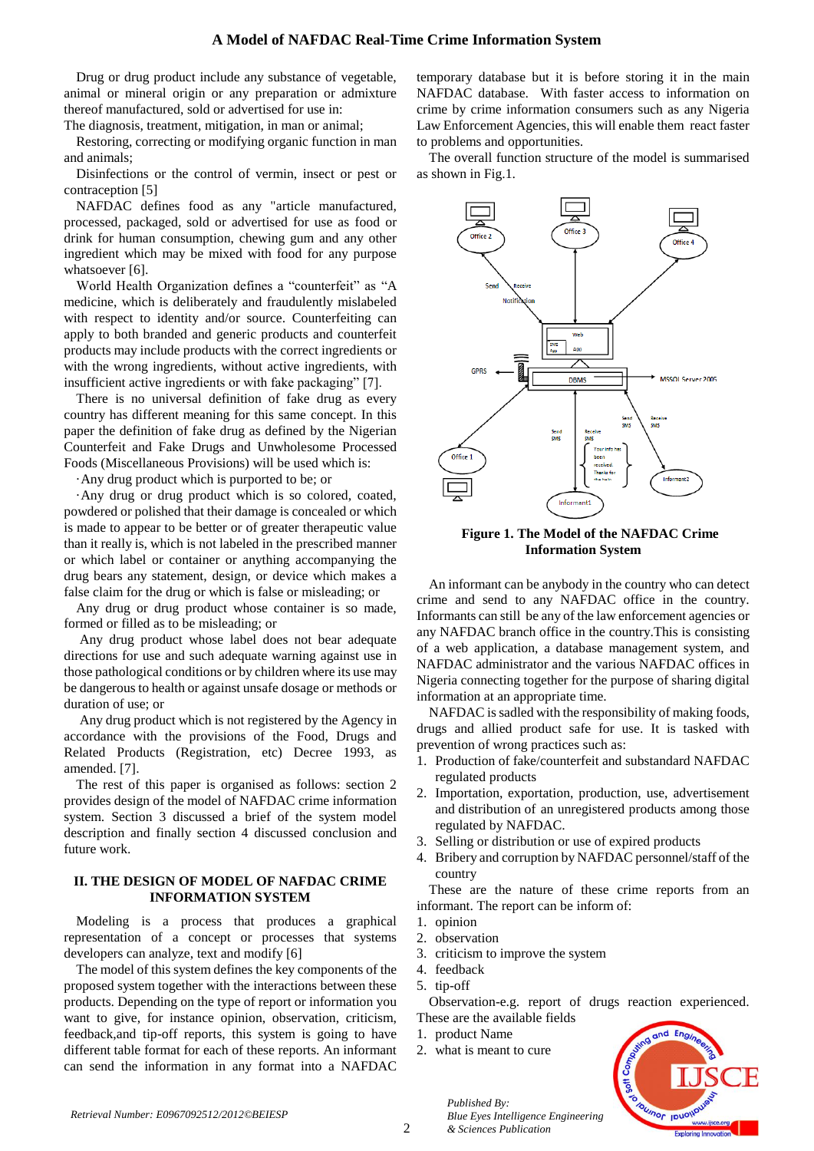Drug or drug product include any substance of vegetable, animal or mineral origin or any preparation or admixture thereof manufactured, sold or advertised for use in:

The diagnosis, treatment, mitigation, in man or animal;

Restoring, correcting or modifying organic function in man and animals;

Disinfections or the control of vermin, insect or pest or contraception [5]

NAFDAC defines food as any "article manufactured, processed, packaged, sold or advertised for use as food or drink for human consumption, chewing gum and any other ingredient which may be mixed with food for any purpose whatsoever [6].

World Health Organization defines a "counterfeit" as "A medicine, which is deliberately and fraudulently mislabeled with respect to identity and/or source. Counterfeiting can apply to both branded and generic products and counterfeit products may include products with the correct ingredients or with the wrong ingredients, without active ingredients, with insufficient active ingredients or with fake packaging" [7].

There is no universal definition of fake drug as every country has different meaning for this same concept. In this paper the definition of fake drug as defined by the Nigerian Counterfeit and Fake Drugs and Unwholesome Processed Foods (Miscellaneous Provisions) will be used which is:

·Any drug product which is purported to be; or

·Any drug or drug product which is so colored, coated, powdered or polished that their damage is concealed or which is made to appear to be better or of greater therapeutic value than it really is, which is not labeled in the prescribed manner or which label or container or anything accompanying the drug bears any statement, design, or device which makes a false claim for the drug or which is false or misleading; or

Any drug or drug product whose container is so made, formed or filled as to be misleading; or

Any drug product whose label does not bear adequate directions for use and such adequate warning against use in those pathological conditions or by children where its use may be dangerous to health or against unsafe dosage or methods or duration of use; or

Any drug product which is not registered by the Agency in accordance with the provisions of the Food, Drugs and Related Products (Registration, etc) Decree 1993, as amended. [7].

The rest of this paper is organised as follows: section 2 provides design of the model of NAFDAC crime information system. Section 3 discussed a brief of the system model description and finally section 4 discussed conclusion and future work.

### **II. THE DESIGN OF MODEL OF NAFDAC CRIME INFORMATION SYSTEM**

Modeling is a process that produces a graphical representation of a concept or processes that systems developers can analyze, text and modify [6]

The model of this system defines the key components of the proposed system together with the interactions between these products. Depending on the type of report or information you want to give, for instance opinion, observation, criticism, feedback,and tip-off reports, this system is going to have different table format for each of these reports. An informant can send the information in any format into a NAFDAC

temporary database but it is before storing it in the main NAFDAC database. With faster access to information on crime by crime information consumers such as any Nigeria Law Enforcement Agencies, this will enable them react faster to problems and opportunities.

The overall function structure of the model is summarised as shown in Fig.1.



**Figure 1. The Model of the NAFDAC Crime Information System**

An informant can be anybody in the country who can detect crime and send to any NAFDAC office in the country. Informants can still be any of the law enforcement agencies or any NAFDAC branch office in the country.This is consisting of a web application, a database management system, and NAFDAC administrator and the various NAFDAC offices in Nigeria connecting together for the purpose of sharing digital information at an appropriate time.

NAFDAC is sadled with the responsibility of making foods, drugs and allied product safe for use. It is tasked with prevention of wrong practices such as:

- 1. Production of fake/counterfeit and substandard NAFDAC regulated products
- 2. Importation, exportation, production, use, advertisement and distribution of an unregistered products among those regulated by NAFDAC.
- 3. Selling or distribution or use of expired products
- 4. Bribery and corruption by NAFDAC personnel/staff of the country

These are the nature of these crime reports from an informant. The report can be inform of:

- 1. opinion
- 2. observation
- 3. criticism to improve the system

*Blue Eyes Intelligence Engineering* 

- 4. feedback
- 5. tip-off

Observation-e.g. report of drugs reaction experienced. These are the available fields

- 1. product Name
- 2. what is meant to cure

*Published By:*

*& Sciences Publication* 

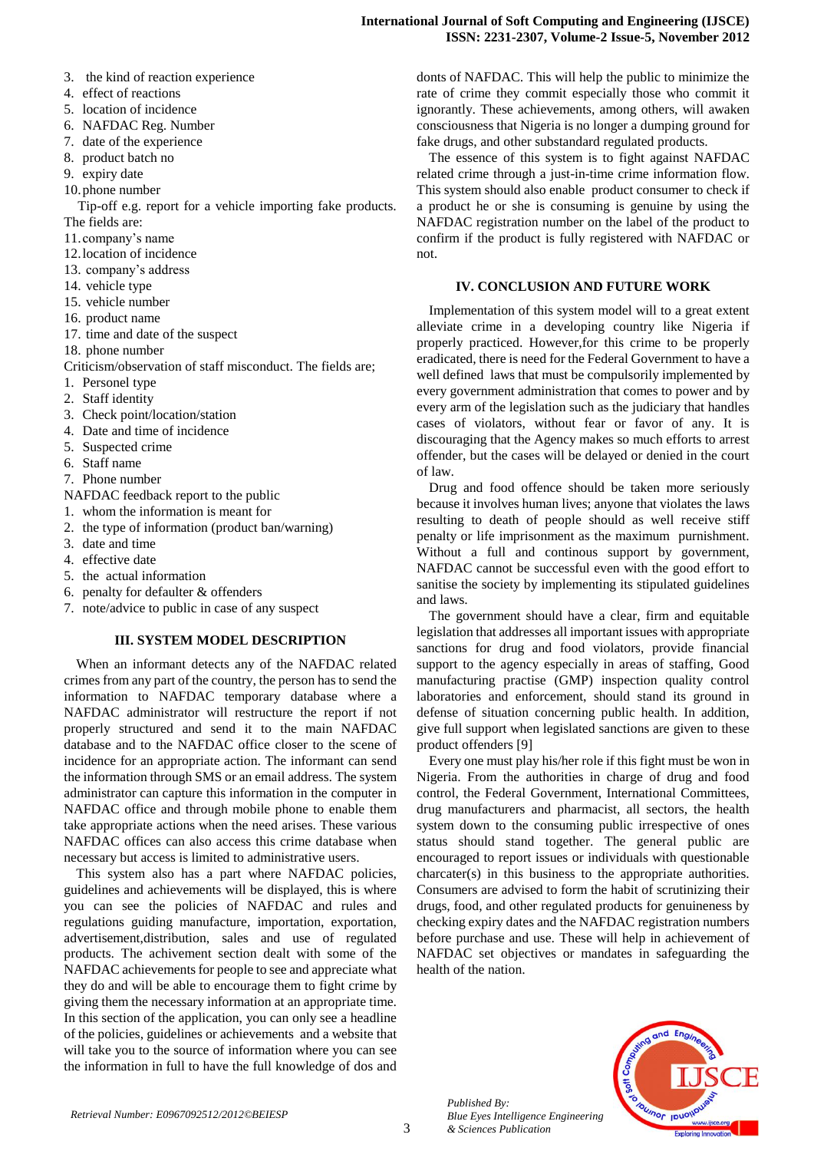- 3. the kind of reaction experience
- 4. effect of reactions
- 5. location of incidence
- 6. NAFDAC Reg. Number
- 7. date of the experience
- 8. product batch no
- 9. expiry date
- 10.phone number

Tip-off e.g. report for a vehicle importing fake products. The fields are:

- 11.company's name
- 12.location of incidence
- 13. company's address
- 14. vehicle type
- 15. vehicle number
- 16. product name
- 17. time and date of the suspect
- 18. phone number

Criticism/observation of staff misconduct. The fields are;

- 1. Personel type
- 2. Staff identity
- 3. Check point/location/station
- 4. Date and time of incidence
- 5. Suspected crime
- 6. Staff name
- 7. Phone number
- NAFDAC feedback report to the public
- 1. whom the information is meant for
- 2. the type of information (product ban/warning)
- 3. date and time
- 4. effective date
- 5. the actual information
- 6. penalty for defaulter & offenders
- 7. note/advice to public in case of any suspect

#### **III. SYSTEM MODEL DESCRIPTION**

When an informant detects any of the NAFDAC related crimes from any part of the country, the person has to send the information to NAFDAC temporary database where a NAFDAC administrator will restructure the report if not properly structured and send it to the main NAFDAC database and to the NAFDAC office closer to the scene of incidence for an appropriate action. The informant can send the information through SMS or an email address. The system administrator can capture this information in the computer in NAFDAC office and through mobile phone to enable them take appropriate actions when the need arises. These various NAFDAC offices can also access this crime database when necessary but access is limited to administrative users.

This system also has a part where NAFDAC policies, guidelines and achievements will be displayed, this is where you can see the policies of NAFDAC and rules and regulations guiding manufacture, importation, exportation, advertisement,distribution, sales and use of regulated products. The achivement section dealt with some of the NAFDAC achievements for people to see and appreciate what they do and will be able to encourage them to fight crime by giving them the necessary information at an appropriate time. In this section of the application, you can only see a headline of the policies, guidelines or achievements and a website that will take you to the source of information where you can see the information in full to have the full knowledge of dos and donts of NAFDAC. This will help the public to minimize the rate of crime they commit especially those who commit it ignorantly. These achievements, among others, will awaken consciousness that Nigeria is no longer a dumping ground for fake drugs, and other substandard regulated products.

The essence of this system is to fight against NAFDAC related crime through a just-in-time crime information flow. This system should also enable product consumer to check if a product he or she is consuming is genuine by using the NAFDAC registration number on the label of the product to confirm if the product is fully registered with NAFDAC or not.

## **IV. CONCLUSION AND FUTURE WORK**

Implementation of this system model will to a great extent alleviate crime in a developing country like Nigeria if properly practiced. However,for this crime to be properly eradicated, there is need for the Federal Government to have a well defined laws that must be compulsorily implemented by every government administration that comes to power and by every arm of the legislation such as the judiciary that handles cases of violators, without fear or favor of any. It is discouraging that the Agency makes so much efforts to arrest offender, but the cases will be delayed or denied in the court of law.

Drug and food offence should be taken more seriously because it involves human lives; anyone that violates the laws resulting to death of people should as well receive stiff penalty or life imprisonment as the maximum purnishment. Without a full and continous support by government, NAFDAC cannot be successful even with the good effort to sanitise the society by implementing its stipulated guidelines and laws.

The government should have a clear, firm and equitable legislation that addresses all important issues with appropriate sanctions for drug and food violators, provide financial support to the agency especially in areas of staffing, Good manufacturing practise (GMP) inspection quality control laboratories and enforcement, should stand its ground in defense of situation concerning public health. In addition, give full support when legislated sanctions are given to these product offenders [9]

Every one must play his/her role if this fight must be won in Nigeria. From the authorities in charge of drug and food control, the Federal Government, International Committees, drug manufacturers and pharmacist, all sectors, the health system down to the consuming public irrespective of ones status should stand together. The general public are encouraged to report issues or individuals with questionable charcater(s) in this business to the appropriate authorities. Consumers are advised to form the habit of scrutinizing their drugs, food, and other regulated products for genuineness by checking expiry dates and the NAFDAC registration numbers before purchase and use. These will help in achievement of NAFDAC set objectives or mandates in safeguarding the health of the nation.



*Published By: Blue Eyes Intelligence Engineering & Sciences Publication*